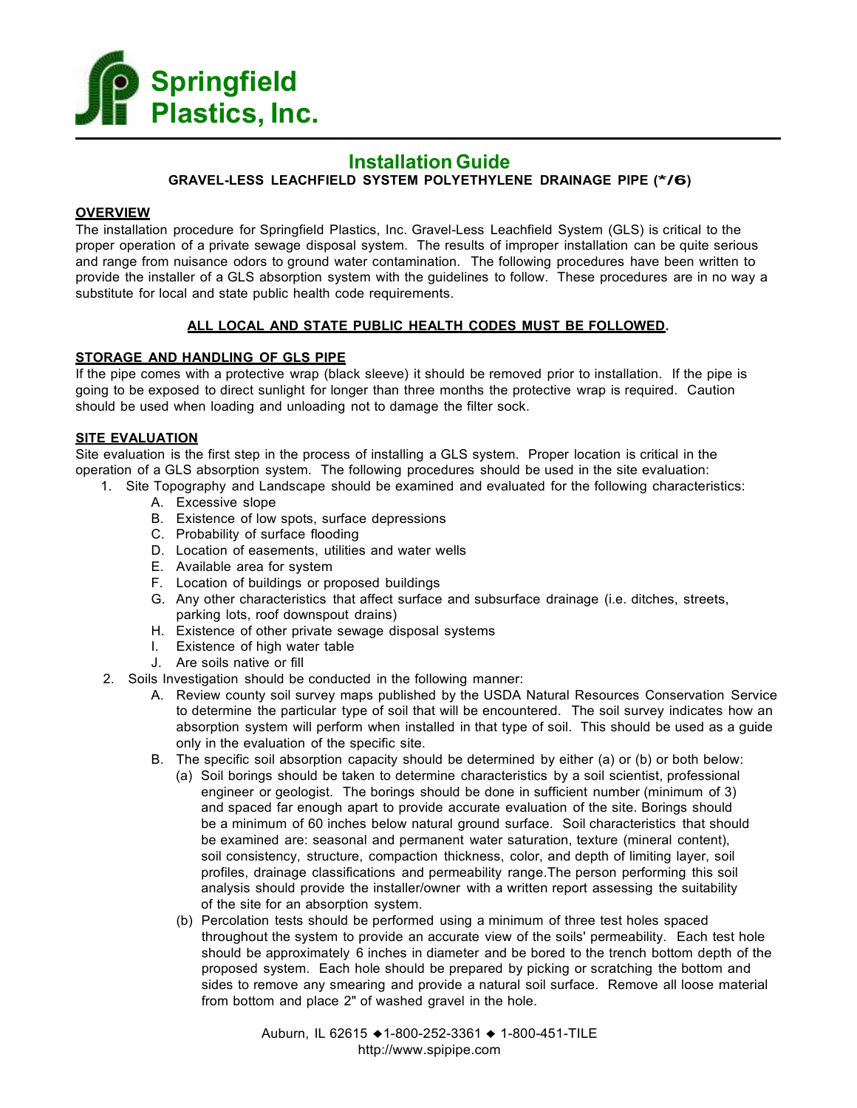

# **Installation Guide GRAVEL-LESS LEACHFIELD SYSTEM POLYETHYLENE DRAINAGE PIPE (\*/6)**

## **OVERVIEW**

The installation procedure for Springfield Plastics, Inc. Gravel-Less Leachfield System (GLS) is critical to the proper operation of a private sewage disposal system. The results of improper installation can be quite serious and range from nuisance odors to ground water contamination. The following procedures have been written to provide the installer of a GLS absorption system with the guidelines to follow. These procedures are in no way a substitute for local and state public health code requirements.

# **ALL LOCAL AND STATE PUBLIC HEALTH CODES MUST BE FOLLOWED.**

# **STORAGE AND HANDLING OF GLS PIPE**

If the pipe comes with a protective wrap (black sleeve) it should be removed prior to installation. If the pipe is going to be exposed to direct sunlight for longer than three months the protective wrap is required. Caution should be used when loading and unloading not to damage the filter sock.

# **SITE EVALUATION**

Site evaluation is the first step in the process of installing a GLS system. Proper location is critical in the operation of a GLS absorption system. The following procedures should be used in the site evaluation:

- 1. Site Topography and Landscape should be examined and evaluated for the following characteristics:
	- A. Excessive slope
	- B. Existence of low spots, surface depressions
	- C. Probability of surface flooding
	- D. Location of easements, utilities and water wells
	- E. Available area for system
	- F. Location of buildings or proposed buildings
	- G. Any other characteristics that affect surface and subsurface drainage (i.e. ditches, streets, parking lots, roof downspout drains)
	- H. Existence of other private sewage disposal systems
	- I. Existence of high water table
	- J. Are soils native or fill
- 2. Soils Investigation should be conducted in the following manner:
	- A. Review county soil survey maps published by the USDA Natural Resources Conservation Service to determine the particular type of soil that will be encountered. The soil survey indicates how an absorption system will perform when installed in that type of soil. This should be used as a guide only in the evaluation of the specific site.
	- B. The specific soil absorption capacity should be determined by either (a) or (b) or both below:
		- (a) Soil borings should be taken to determine characteristics by a soil scientist, professional engineer or geologist. The borings should be done in sufficient number (minimum of 3) and spaced far enough apart to provide accurate evaluation of the site. Borings should be a minimum of 60 inches below natural ground surface. Soil characteristics that should be examined are: seasonal and permanent water saturation, texture (mineral content), soil consistency, structure, compaction thickness, color, and depth of limiting layer, soil profiles, drainage classifications and permeability range.The person performing this soil analysis should provide the installer/owner with a written report assessing the suitability of the site for an absorption system.
		- (b) Percolation tests should be performed using a minimum of three test holes spaced throughout the system to provide an accurate view of the soils' permeability. Each test hole should be approximately 6 inches in diameter and be bored to the trench bottom depth of the proposed system. Each hole should be prepared by picking or scratching the bottom and sides to remove any smearing and provide a natural soil surface. Remove all loose material from bottom and place 2" of washed gravel in the hole.